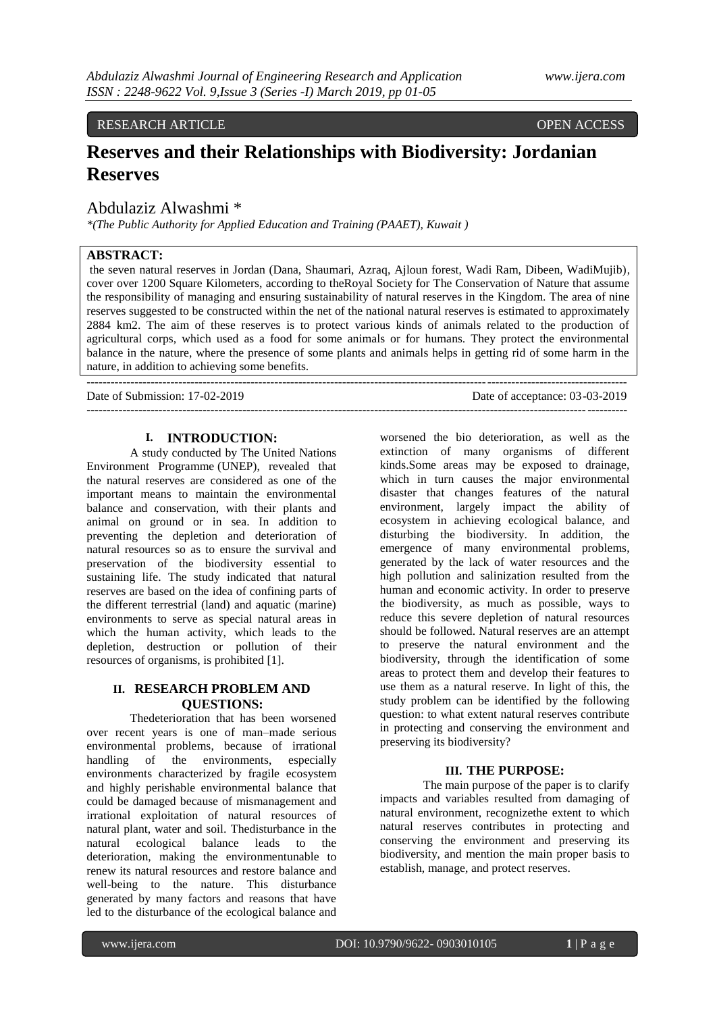### RESEARCH ARTICLE OPEN ACCESS

# **Reserves and their Relationships with Biodiversity: Jordanian Reserves**

# Abdulaziz Alwashmi \*

*\*(The Public Authority for Applied Education and Training (PAAET), Kuwait )*

### **ABSTRACT:**

the seven natural reserves in Jordan (Dana, Shaumari, Azraq, Ajloun forest, Wadi Ram, Dibeen, WadiMujib), cover over 1200 Square Kilometers, according to theRoyal Society for The Conservation of Nature that assume the responsibility of managing and ensuring sustainability of natural reserves in the Kingdom. The area of nine reserves suggested to be constructed within the net of the national natural reserves is estimated to approximately 2884 km2. The aim of these reserves is to protect various kinds of animals related to the production of agricultural corps, which used as a food for some animals or for humans. They protect the environmental balance in the nature, where the presence of some plants and animals helps in getting rid of some harm in the nature, in addition to achieving some benefits.

---------------------------------------------------------------------------------------------------------------------------------------

---------------------------------------------------------------------------------------------------------------------------------------

Date of Submission: 17-02-2019 Date of acceptance: 03-03-2019

#### **I. INTRODUCTION:**

A study conducted by The United Nations Environment Programme (UNEP), revealed that the natural reserves are considered as one of the important means to maintain the environmental balance and conservation, with their plants and animal on ground or in sea. In addition to preventing the depletion and deterioration of natural resources so as to ensure the survival and preservation of the biodiversity essential to sustaining life. The study indicated that natural reserves are based on the idea of confining parts of the different terrestrial (land) and aquatic (marine) environments to serve as special natural areas in which the human activity, which leads to the depletion, destruction or pollution of their resources of organisms, is prohibited [1].

#### **II. RESEARCH PROBLEM AND QUESTIONS:**

Thedeterioration that has been worsened over recent years is one of man–made serious environmental problems, because of irrational handling of the environments, especially environments characterized by fragile ecosystem and highly perishable environmental balance that could be damaged because of mismanagement and irrational exploitation of natural resources of natural plant, water and soil. Thedisturbance in the natural ecological balance leads to the deterioration, making the environmentunable to renew its natural resources and restore balance and well-being to the nature. This disturbance generated by many factors and reasons that have led to the disturbance of the ecological balance and

worsened the bio deterioration, as well as the extinction of many organisms of different kinds.Some areas may be exposed to drainage, which in turn causes the major environmental disaster that changes features of the natural environment, largely impact the ability of ecosystem in achieving ecological balance, and disturbing the biodiversity. In addition, the emergence of many environmental problems, generated by the lack of water resources and the high pollution and salinization resulted from the human and economic activity. In order to preserve the biodiversity, as much as possible, ways to reduce this severe depletion of natural resources should be followed. Natural reserves are an attempt to preserve the natural environment and the biodiversity, through the identification of some areas to protect them and develop their features to use them as a natural reserve. In light of this, the study problem can be identified by the following question: to what extent natural reserves contribute in protecting and conserving the environment and preserving its biodiversity?

#### **III. THE PURPOSE:**

The main purpose of the paper is to clarify impacts and variables resulted from damaging of natural environment, recognizethe extent to which natural reserves contributes in protecting and conserving the environment and preserving its biodiversity, and mention the main proper basis to establish, manage, and protect reserves.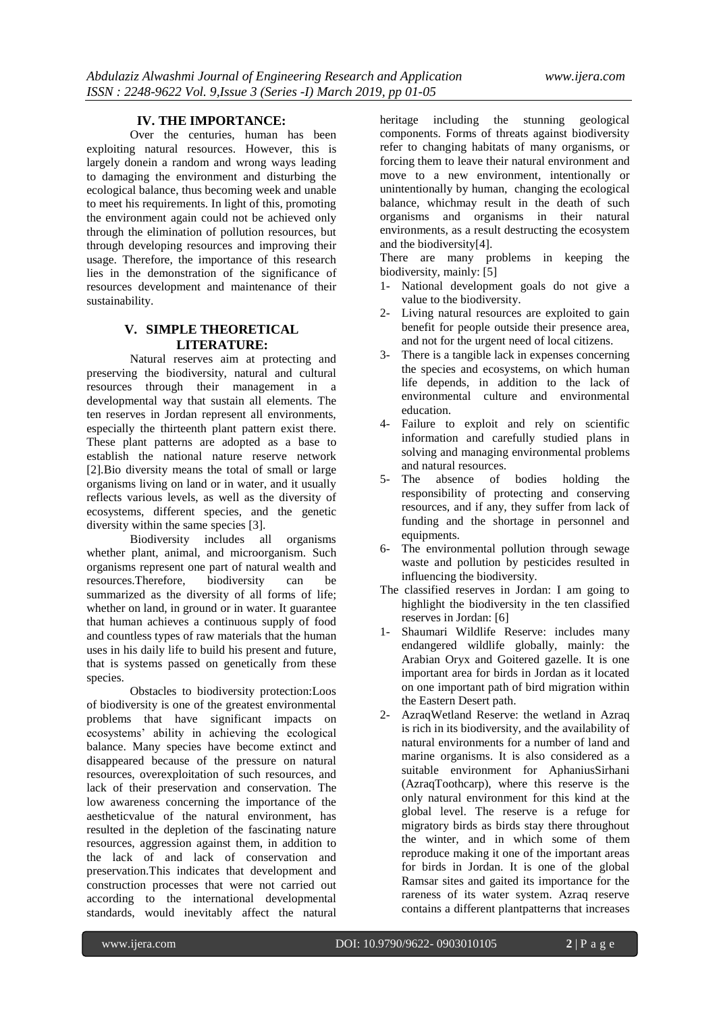#### **IV. THE IMPORTANCE:**

Over the centuries, human has been exploiting natural resources. However, this is largely donein a random and wrong ways leading to damaging the environment and disturbing the ecological balance, thus becoming week and unable to meet his requirements. In light of this, promoting the environment again could not be achieved only through the elimination of pollution resources, but through developing resources and improving their usage. Therefore, the importance of this research lies in the demonstration of the significance of resources development and maintenance of their sustainability.

### **V. SIMPLE THEORETICAL LITERATURE:**

Natural reserves aim at protecting and preserving the biodiversity, natural and cultural resources through their management in a developmental way that sustain all elements. The ten reserves in Jordan represent all environments, especially the thirteenth plant pattern exist there. These plant patterns are adopted as a base to establish the national nature reserve network [2].Bio diversity means the total of small or large organisms living on land or in water, and it usually reflects various levels, as well as the diversity of ecosystems, different species, and the genetic diversity within the same species [3].

Biodiversity includes all organisms whether plant, animal, and microorganism. Such organisms represent one part of natural wealth and resources.Therefore, biodiversity can be summarized as the diversity of all forms of life; whether on land, in ground or in water. It guarantee that human achieves a continuous supply of food and countless types of raw materials that the human uses in his daily life to build his present and future, that is systems passed on genetically from these species.

Obstacles to biodiversity protection:Loos of biodiversity is one of the greatest environmental problems that have significant impacts on ecosystems' ability in achieving the ecological balance. Many species have become extinct and disappeared because of the pressure on natural resources, overexploitation of such resources, and lack of their preservation and conservation. The low awareness concerning the importance of the [aestheticv](https://context.reverso.net/translation/english-arabic/Aesthetic)alue of the natural environment, has resulted in the depletion of the fascinating nature resources, aggression against them, in addition to the lack of and lack of conservation and preservation.This indicates that development and construction processes that were not carried out according to the international developmental standards, would inevitably affect the natural

heritage including the stunning geological components. Forms of threats against biodiversity refer to changing habitats of many organisms, or forcing them to leave their natural environment and move to a new environment, intentionally or unintentionally by human, changing the ecological balance, whichmay result in the death of such organisms and organisms in their natural environments, as a result destructing the ecosystem and the biodiversity[4].

There are many problems in keeping the biodiversity, mainly: [5]

- 1- National development goals do not give a value to the biodiversity.
- 2- Living natural resources are exploited to gain benefit for people outside their presence area, and not for the urgent need of local citizens.
- 3- There is a tangible lack in expenses concerning the species and ecosystems, on which human life depends, in addition to the lack of environmental culture and environmental education.
- 4- Failure to exploit and rely on scientific information and carefully studied plans in solving and managing environmental problems and natural resources.
- 5- The absence of bodies holding the responsibility of protecting and conserving resources, and if any, they suffer from lack of funding and the shortage in personnel and equipments.
- 6- The environmental pollution through sewage waste and pollution by pesticides resulted in influencing the biodiversity.
- The classified reserves in Jordan: I am going to highlight the biodiversity in the ten classified reserves in Jordan: [6]
- 1- [Shaumari Wildlife Reserve:](https://en.wikipedia.org/wiki/Shaumari_Wildlife_Reserve) includes many endangered wildlife globally, mainly: the Arabian Oryx and Goitered gazelle. It is one important area for birds in Jordan as it located on one important path of bird migration within the Eastern Desert path.
- 2- AzraqWetland Reserve: the wetland in Azraq is rich in its biodiversity, and the availability of natural environments for a number of land and marine organisms. It is also considered as a suitable environment for AphaniusSirhani (AzraqToothcarp), where this reserve is the only natural environment for this kind at the global level. The reserve is a refuge for migratory birds as birds stay there throughout the winter, and in which some of them reproduce making it one of the important areas for birds in Jordan. It is one of the global Ramsar sites and gaited its importance for the rareness of its water system. Azraq reserve contains a different plantpatterns that increases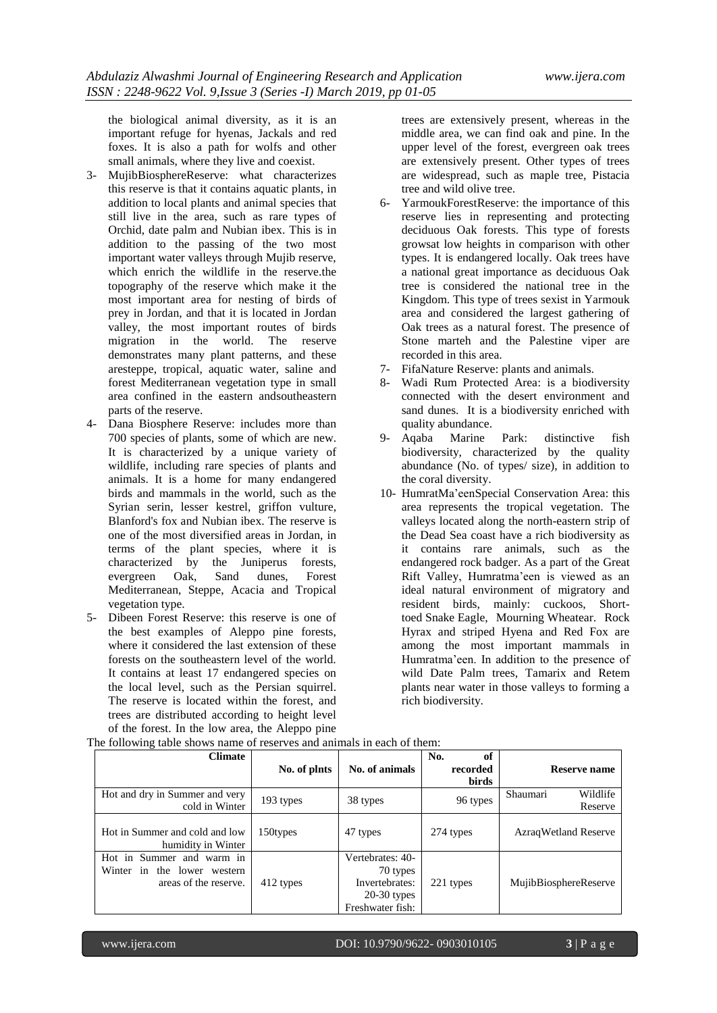the biological animal diversity, as it is an important refuge for hyenas, Jackals and red foxes. It is also a path for wolfs and other small animals, where they live and coexist.

- 3- MujibBiosphereReserve: what characterizes this reserve is that it contains aquatic plants, in addition to local plants and animal species that still live in the area, such as rare types of Orchid, date palm and Nubian ibex. This is in addition to the passing of the two most important water valleys through Mujib reserve, which enrich the wildlife in the reserve.the topography of the reserve which make it the most important area for nesting of birds of prey in Jordan, and that it is located in Jordan valley, the most important routes of birds migration in the world. The reserve demonstrates many plant patterns, and these aresteppe, tropical, aquatic water, saline and forest Mediterranean vegetation type in small area confined in the eastern andsoutheastern parts of the reserve.
- 4- Dana Biosphere Reserve: includes more than 700 species of plants, some of which are new. It is characterized by a unique variety of wildlife, including rare species of plants and animals. It is a home for many endangered birds and mammals in the world, such as the Syrian serin, lesser kestrel, griffon vulture, Blanford's fox and Nubian ibex. The reserve is one of the most diversified areas in Jordan, in terms of the plant species, where it is characterized by the Juniperus forests, evergreen Oak, Sand dunes, Forest Mediterranean, Steppe, Acacia and Tropical vegetation type.
- 5- Dibeen Forest Reserve: this reserve is one of the best examples of Aleppo pine forests, where it considered the last extension of these forests on the southeastern level of the world. It contains at least 17 endangered species on the local level, such as the Persian squirrel. The reserve is located within the forest, and trees are distributed according to height level of the forest. In the low area, the Aleppo pine

trees are extensively present, whereas in the middle area, we can find oak and pine. In the upper level of the forest, evergreen oak trees are extensively present. Other types of trees are widespread, such as maple tree, Pistacia tree and wild olive tree.

- 6- YarmoukForestReserve: the importance of this reserve lies in representing and protecting deciduous Oak forests. This type of forests growsat low heights in comparison with other types. It is endangered locally. Oak trees have a national great importance as deciduous Oak tree is considered the national tree in the Kingdom. This type of trees sexist in Yarmouk area and considered the largest gathering of Oak trees as a natural forest. The presence of Stone marteh and the Palestine viper are recorded in this area.
- 7- FifaNature Reserve: plants and animals.
- 8- Wadi Rum Protected Area: is a biodiversity connected with the desert environment and sand dunes. It is a biodiversity enriched with quality abundance.
- 9- Aqaba Marine Park: distinctive fish biodiversity, characterized by the quality abundance (No. of types/ size), in addition to the coral diversity.
- 10- HumratMa'eenSpecial Conservation Area: this area represents the tropical vegetation. The valleys located along the north-eastern strip of the Dead Sea coast have a rich biodiversity as it contains rare animals, such as the endangered rock badger. As a part of the Great Rift Valley, Humratma'een is viewed as an ideal natural environment of migratory and resident birds, mainly: cuckoos, Shorttoed Snake Eagle, Mourning Wheatear. Rock Hyrax and striped Hyena and Red Fox are among the most important mammals in Humratma'een. In addition to the presence of wild Date Palm trees, Tamarix and Retem plants near water in those valleys to forming a rich biodiversity.

| <b>Climate</b>                                                                    | No. of plnts | No. of animals                                                                      | of<br>No.<br>recorded<br>birds | <b>Reserve name</b>             |
|-----------------------------------------------------------------------------------|--------------|-------------------------------------------------------------------------------------|--------------------------------|---------------------------------|
| Hot and dry in Summer and very<br>cold in Winter                                  | 193 types    | 38 types                                                                            | 96 types                       | Wildlife<br>Shaumari<br>Reserve |
| Hot in Summer and cold and low<br>humidity in Winter                              | 150types     | 47 types                                                                            | 274 types                      | Azraq Wetland Reserve           |
| Hot in Summer and warm in<br>Winter in the lower western<br>areas of the reserve. | 412 types    | Vertebrates: 40-<br>70 types<br>Invertebrates:<br>$20-30$ types<br>Freshwater fish: | 221 types                      | MujibBiosphereReserve           |

The following table shows name of reserves and animals in each of them: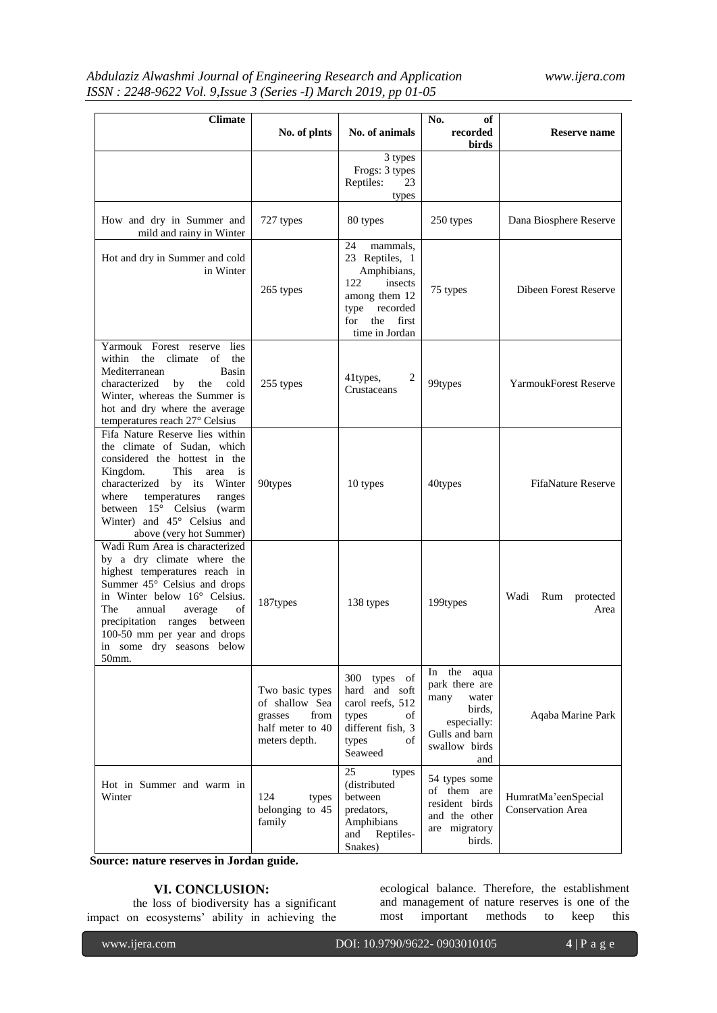# *Abdulaziz Alwashmi Journal of Engineering Research and Application www.ijera.com ISSN : 2248-9622 Vol. 9,Issue 3 (Series -I) March 2019, pp 01-05*

| <b>Climate</b>                                                                                                                                                                                                                                                                                        |                                                                                           |                                                                                                                                              | No.<br>оf                                                                                                               |                                                 |
|-------------------------------------------------------------------------------------------------------------------------------------------------------------------------------------------------------------------------------------------------------------------------------------------------------|-------------------------------------------------------------------------------------------|----------------------------------------------------------------------------------------------------------------------------------------------|-------------------------------------------------------------------------------------------------------------------------|-------------------------------------------------|
|                                                                                                                                                                                                                                                                                                       | No. of plnts                                                                              | No. of animals                                                                                                                               | recorded<br>birds                                                                                                       | Reserve name                                    |
|                                                                                                                                                                                                                                                                                                       |                                                                                           | 3 types<br>Frogs: 3 types<br>23<br>Reptiles:<br>types                                                                                        |                                                                                                                         |                                                 |
| How and dry in Summer and<br>mild and rainy in Winter                                                                                                                                                                                                                                                 | 727 types                                                                                 | 80 types                                                                                                                                     | 250 types                                                                                                               | Dana Biosphere Reserve                          |
| Hot and dry in Summer and cold<br>in Winter                                                                                                                                                                                                                                                           | 265 types                                                                                 | mammals,<br>24<br>23 Reptiles, 1<br>Amphibians,<br>122<br>insects<br>among them 12<br>type<br>recorded<br>the first<br>for<br>time in Jordan | 75 types                                                                                                                | <b>Dibeen Forest Reserve</b>                    |
| Yarmouk Forest reserve lies<br>within the<br>climate<br>of<br>the<br>Mediterranean<br>Basin<br>the<br>cold<br>characterized<br>by<br>Winter, whereas the Summer is<br>hot and dry where the average<br>temperatures reach 27° Celsius                                                                 | 255 types                                                                                 | $\overline{2}$<br>41types,<br>Crustaceans                                                                                                    | 99types                                                                                                                 | <b>YarmoukForest Reserve</b>                    |
| Fifa Nature Reserve lies within<br>the climate of Sudan, which<br>considered the hottest in the<br>is<br>Kingdom.<br>This<br>area<br>characterized by its Winter<br>where<br>temperatures<br>ranges<br>between $15^{\circ}$ Celsius (warm<br>Winter) and 45° Celsius and<br>above (very hot Summer)   | 90types                                                                                   | 10 types                                                                                                                                     | 40types                                                                                                                 | <b>FifaNature Reserve</b>                       |
| Wadi Rum Area is characterized<br>by a dry climate where the<br>highest temperatures reach in<br>Summer 45° Celsius and drops<br>in Winter below 16° Celsius.<br>The<br>annual<br>average<br>of<br>precipitation ranges between<br>100-50 mm per year and drops<br>in some dry seasons below<br>50mm. | 187types                                                                                  | 138 types                                                                                                                                    | 199types                                                                                                                | Wadi Rum protected<br>Area                      |
|                                                                                                                                                                                                                                                                                                       | Two basic types<br>of shallow Sea<br>from<br>grasses<br>half meter to 40<br>meters depth. | 300 types of<br>hard and soft<br>carol reefs, 512<br>types<br>οf<br>different fish, 3<br>of<br>types<br>Seaweed                              | the<br>aqua<br>In<br>park there are<br>many<br>water<br>birds,<br>especially:<br>Gulls and barn<br>swallow birds<br>and | Aqaba Marine Park                               |
| Hot in Summer and warm in<br>Winter                                                                                                                                                                                                                                                                   | 124<br>types<br>belonging to 45<br>family                                                 | 25<br>types<br>(distributed<br>between<br>predators,<br>Amphibians<br>Reptiles-<br>and<br>Snakes)                                            | 54 types some<br>of them are<br>resident birds<br>and the other<br>are migratory<br>birds.                              | HumratMa'eenSpecial<br><b>Conservation Area</b> |

**Source: nature reserves in Jordan guide.**

# **VI. CONCLUSION:**

the loss of biodiversity has a significant impact on ecosystems' ability in achieving the ecological balance. Therefore, the establishment and management of nature reserves is one of the<br>most important methods to keep this most important methods to keep this